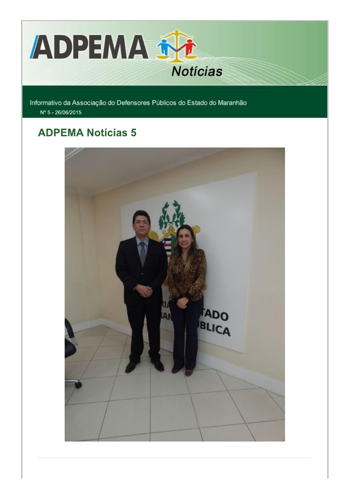

Informativo da Associação do Defensores Públicos do Estado do Maranhão Nº 5 - 26/06/2015

## **ADPEMA Notícias 5**

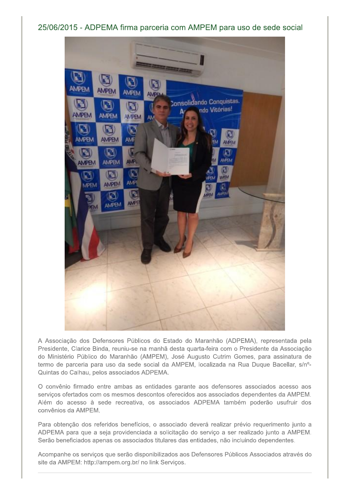### 25/06/2015 - ADPEMA firma parceria com AMPEM para uso de sede social



A Associação dos Defensores Públicos do Estado do Maranhão (ADPEMA), representada pela Presidente, Clarice Binda, reuniu-se na manhã desta quarta-feira com o Presidente da Associação do Ministério Público do Maranhão (AMPEM), José Augusto Cutrim Gomes, para assinatura de termo de parceria para uso da sede social da AMPEM, localizada na Rua Duque Bacellar, s/nº-Quintas do Calhau, pelos associados ADPEMA.

O convênio firmado entre ambas as entidades garante aos defensores associados acesso aos serviços ofertados com os mesmos descontos oferecidos aos associados dependentes da AMPEM. Além do acesso à sede recreativa, os associados ADPEMA também poderão usufruir dos convênios da AMPEM.

Para obtenção dos referidos benefícios, o associado deverá realizar prévio requerimento junto a ADPEMA para que a seja providenciada a solicitação do serviço a ser realizado junto a AMPEM. Serão beneficiados apenas os associados titulares das entidades, não incluindo dependentes.

Acompanhe os serviços que serão disponibilizados aos Defensores Públicos Associados através do site da AMPEM: http://ampem.org.br/ no link Serviços.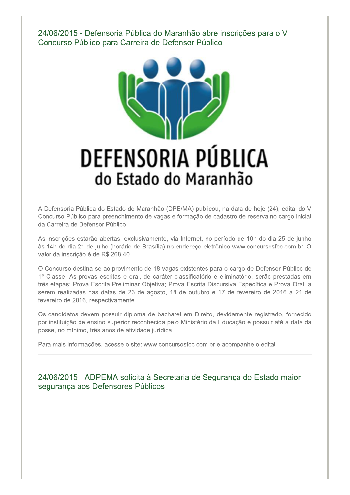24/06/2015 - Defensoria Pública do Maranhão abre inscrições para o V Concurso Público para Carreira de Defensor Público



# DEFENSORIA PÚBLICA do Estado do Maranhão

A Defensoria Pública do Estado do Maranhão (DPE/MA) publicou, na data de hoje (24), edital do V Concurso Público para preenchimento de vagas e formação de cadastro de reserva no cargo inicial da Carreira de Defensor Público.

As inscrições estarão abertas, exclusivamente, via Internet, no período de 10h do dia 25 de junho às 14h do dia 21 de julho (horário de Brasília) no endereço eletrônico www.concursosfcc.com.br. O valor da inscrição é de R\$ 268,40.

O Concurso destina-se ao provimento de 18 vagas existentes para o cargo de Defensor Público de 1ª Classe. As provas escritas e oral, de caráter classificatório e eliminatório, serão prestadas em três etapas: Prova Escrita Preliminar Objetiva; Prova Escrita Discursiva Específica e Prova Oral, a serem realizadas nas datas de 23 de agosto, 18 de outubro e 17 de fevereiro de 2016 a 21 de fevereiro de 2016, respectivamente.

Os candidatos devem possuir diploma de bacharel em Direito, devidamente registrado, fornecido por instituição de ensino superior reconhecida pelo Ministério da Educação e possuir até a data da posse, no mínimo, três anos de atividade jurídica.

Para mais informações, acesse o site: www.concursosfcc.com.br e acompanhe o edital.

24/06/2015 - ADPEMA solicita à Secretaria de Segurança do Estado maior segurança aos Defensores Públicos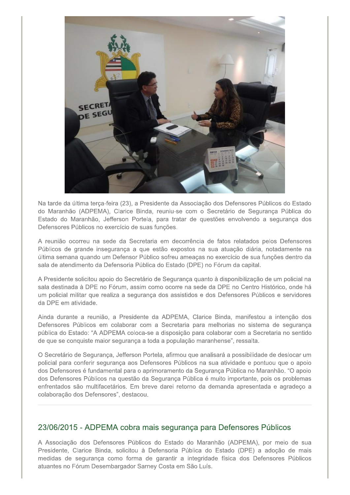

Na tarde da última terca-feira (23), a Presidente da Associação dos Defensores Públicos do Estado do Maranhão (ADPEMA), Clarice Binda, reuniu-se com o Secretário de Segurança Pública do Estado do Maranhão, Jefferson Portela, para tratar de questões envolvendo a segurança dos Defensores Públicos no exercício de suas funções.

A reunião ocorreu na sede da Secretaria em decorrência de fatos relatados pelos Defensores Públicos de grande insegurança a que estão expostos na sua atuação diária, notadamente na última semana quando um Defensor Público sofreu ameaças no exercício de sua funções dentro da sala de atendimento da Defensoria Pública do Estado (DPE) no Fórum da capital.

A Presidente solicitou apoio do Secretário de Segurança quanto à disponibilização de um policial na sala destinada à DPE no Fórum, assim como ocorre na sede da DPE no Centro Histórico, onde há um policial militar que realiza a segurança dos assistidos e dos Defensores Públicos e servidores da DPE em atividade.

Ainda durante a reunião, a Presidente da ADPEMA, Clarice Binda, manifestou a intenção dos Defensores Públicos em colaborar com a Secretaria para melhorias no sistema de segurança pública do Estado: "A ADPEMA coloca-se a disposição para colaborar com a Secretaria no sentido de que se conquiste maior segurança a toda a população maranhense", ressalta.

O Secretário de Segurança, Jefferson Portela, afirmou que analisará a possibilidade de deslocar um policial para conferir segurança aos Defensores Públicos na sua atividade e pontuou que o apoio dos Defensores é fundamental para o aprimoramento da Segurança Pública no Maranhão. "O apoio dos Defensores Públicos na questão da Segurança Pública é muito importante, pois os problemas enfrentados são multifacetários. Em breve darei retorno da demanda apresentada e agradeço a colaboração dos Defensores", destacou.

#### 23/06/2015 - ADPEMA cobra mais segurança para Defensores Públicos

A Associação dos Defensores Públicos do Estado do Maranhão (ADPEMA), por meio de sua Presidente, Clarice Binda, solicitou à Defensoria Pública do Estado (DPE) a adoção de mais medidas de segurança como forma de garantir a integridade física dos Defensores Públicos atuantes no Fórum Desembargador Sarney Costa em São Luís.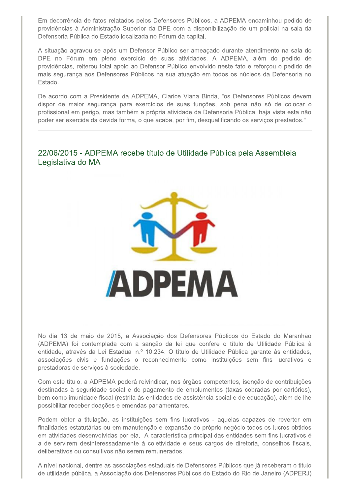Em decorrência de fatos relatados pelos Defensores Públicos, a ADPEMA encaminhou pedido de providências à Administração Superior da DPE com a disponibilização de um policial na sala da Defensoria Pública do Estado localizada no Fórum da capital.

A situação agravou-se após um Defensor Público ser ameaçado durante atendimento na sala do DPE no Fórum em pleno exercício de suas atividades. A ADPEMA, além do pedido de providências, reiterou total apoio ao Defensor Público envolvido neste fato e reforçou o pedido de mais segurança aos Defensores Públicos na sua atuação em todos os núcleos da Defensoria no Estado.

De acordo com a Presidente da ADPEMA, Clarice Viana Binda, "os Defensores Públicos devem dispor de maior segurança para exercícios de suas funções, sob pena não só de colocar o profissional em perigo, mas também a própria atividade da Defensoria Pública, haja vista esta não poder ser exercida da devida forma, o que acaba, por fim, desqualificando os servicos prestados."

#### 22/06/2015 - ADPEMA recebe título de Utilidade Pública pela Assembleia Legislativa do MA



No dia 13 de maio de 2015, a Associação dos Defensores Públicos do Estado do Maranhão (ADPEMA) foi contemplada com a sanção da lei que confere o título de Utilidade Pública à entidade, através da Lei Estadual n.º 10.234. O título de Utilidade Pública garante às entidades, associações civis e fundações o reconhecimento como instituições sem fins lucrativos e prestadoras de serviços à sociedade.

Com este título, a ADPEMA poderá reivindicar, nos órgãos competentes, isenção de contribuições destinadas à seguridade social e de pagamento de emolumentos (taxas cobradas por cartórios), bem como imunidade fiscal (restrita às entidades de assistência social e de educação), além de lhe possibilitar receber doações e emendas parlamentares.

Podem obter a titulação, as instituições sem fins lucrativos - aquelas capazes de reverter em finalidades estatutárias ou em manutenção e expansão do próprio negócio todos os lucros obtidos em atividades desenvolvidas por ela. A característica principal das entidades sem fins lucrativos é a de servirem desinteressadamente à coletividade e seus cargos de diretoria, conselhos fiscais, deliberativos ou consultivos não serem remunerados.

A nível nacional, dentre as associações estaduais de Defensores Públicos que já receberam o titulo de utilidade pública, a Associação dos Defensores Públicos do Estado do Rio de Janeiro (ADPERJ)